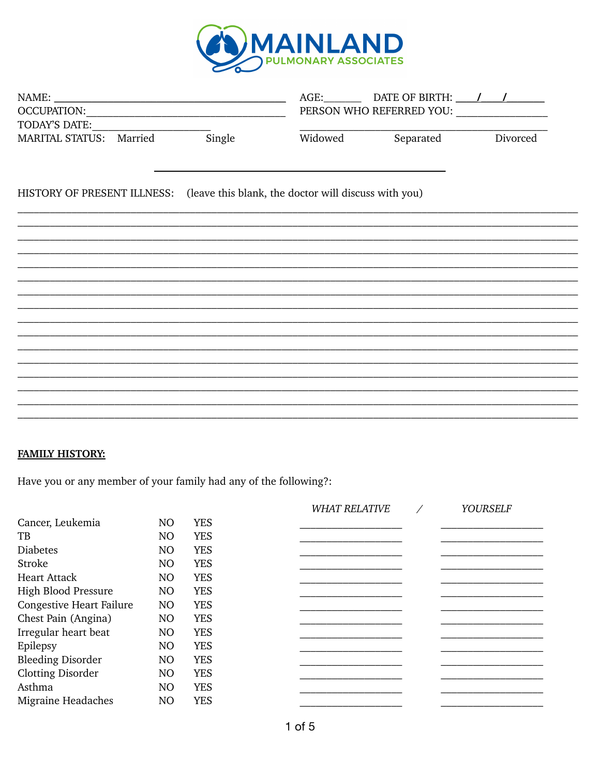

| NAME:<br>OCCUPATION: University of the contract of the contract of the contract of the contract of the contract of the contract of the contract of the contract of the contract of the contract of the contract of the contract of the<br>TODAY'S DATE: |        |                                                                                  | AGE: DATE OF BIRTH: ///<br>PERSON WHO REFERRED YOU: |          |  |  |
|---------------------------------------------------------------------------------------------------------------------------------------------------------------------------------------------------------------------------------------------------------|--------|----------------------------------------------------------------------------------|-----------------------------------------------------|----------|--|--|
| MARITAL STATUS: Married                                                                                                                                                                                                                                 | Single | Widowed                                                                          | Separated                                           | Divorced |  |  |
|                                                                                                                                                                                                                                                         |        | HISTORY OF PRESENT ILLNESS: (leave this blank, the doctor will discuss with you) |                                                     |          |  |  |
|                                                                                                                                                                                                                                                         |        |                                                                                  |                                                     |          |  |  |
|                                                                                                                                                                                                                                                         |        |                                                                                  |                                                     |          |  |  |
|                                                                                                                                                                                                                                                         |        |                                                                                  |                                                     |          |  |  |
|                                                                                                                                                                                                                                                         |        |                                                                                  |                                                     |          |  |  |
|                                                                                                                                                                                                                                                         |        |                                                                                  |                                                     |          |  |  |
|                                                                                                                                                                                                                                                         |        |                                                                                  |                                                     |          |  |  |
|                                                                                                                                                                                                                                                         |        |                                                                                  |                                                     |          |  |  |
|                                                                                                                                                                                                                                                         |        |                                                                                  |                                                     |          |  |  |

## **FAMILY HISTORY:**

Have you or any member of your family had any of the following?:

|                |            | <b>WHAT RELATIVE</b> | <b>YOURSELF</b> |
|----------------|------------|----------------------|-----------------|
| N <sub>O</sub> | <b>YES</b> |                      |                 |
| N <sub>O</sub> | <b>YES</b> |                      |                 |
| N <sub>O</sub> | <b>YES</b> |                      |                 |
| N <sub>O</sub> | <b>YES</b> |                      |                 |
| N <sub>O</sub> | <b>YES</b> |                      |                 |
| N <sub>O</sub> | <b>YES</b> |                      |                 |
| NO             | <b>YES</b> |                      |                 |
| N <sub>O</sub> | <b>YES</b> |                      |                 |
| N <sub>O</sub> | <b>YES</b> |                      |                 |
| N <sub>O</sub> | <b>YES</b> |                      |                 |
| N <sub>O</sub> | <b>YES</b> |                      |                 |
| N <sub>O</sub> | <b>YES</b> |                      |                 |
| N <sub>O</sub> | <b>YES</b> |                      |                 |
| N <sub>O</sub> | <b>YES</b> |                      |                 |
|                |            |                      |                 |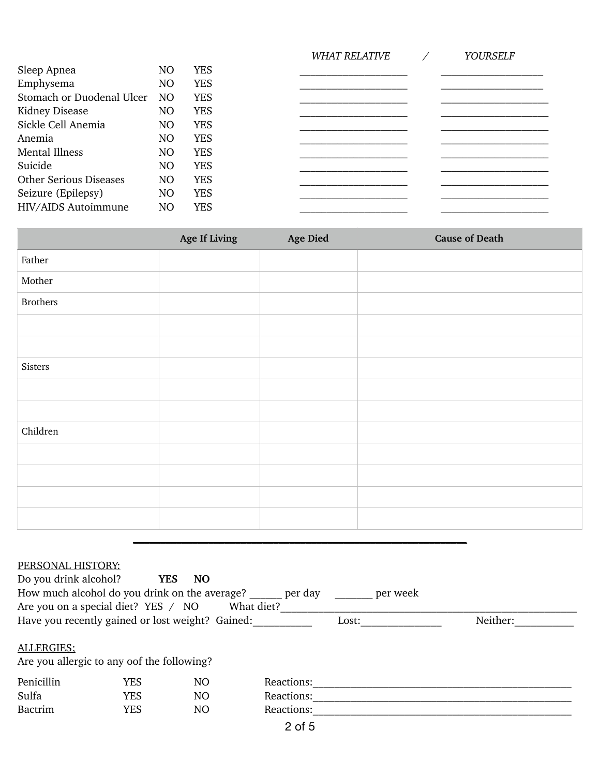|                               |                |            | <b>WHAT RELATIVE</b> | <b>YOURSELF</b> |
|-------------------------------|----------------|------------|----------------------|-----------------|
| Sleep Apnea                   | NO             | <b>YES</b> |                      |                 |
| Emphysema                     | NO             | <b>YES</b> |                      |                 |
| Stomach or Duodenal Ulcer     | N <sub>O</sub> | <b>YES</b> |                      |                 |
| Kidney Disease                | NO             | <b>YES</b> |                      |                 |
| Sickle Cell Anemia            | NO             | <b>YES</b> |                      |                 |
| Anemia                        | NO             | <b>YES</b> |                      |                 |
| <b>Mental Illness</b>         | NO             | <b>YES</b> |                      |                 |
| Suicide                       | NO             | <b>YES</b> |                      |                 |
| <b>Other Serious Diseases</b> | NO             | <b>YES</b> |                      |                 |
| Seizure (Epilepsy)            | NO             | <b>YES</b> |                      |                 |
| HIV/AIDS Autoimmune           | N <sub>O</sub> | <b>YES</b> |                      |                 |
|                               |                |            |                      |                 |

|                 | Age If Living | Age Died | <b>Cause of Death</b> |
|-----------------|---------------|----------|-----------------------|
| Father          |               |          |                       |
| Mother          |               |          |                       |
| <b>Brothers</b> |               |          |                       |
|                 |               |          |                       |
|                 |               |          |                       |
| Sisters         |               |          |                       |
|                 |               |          |                       |
|                 |               |          |                       |
| Children        |               |          |                       |
|                 |               |          |                       |
|                 |               |          |                       |
|                 |               |          |                       |
|                 |               |          |                       |

#### PERSONAL HISTORY:

| Do you drink alcohol?<br>How much alcohol do you drink on the average?<br>Are you on a special diet? YES / NO |            | <b>NO</b><br><b>YES</b> | per day<br>What diet? | per week |          |
|---------------------------------------------------------------------------------------------------------------|------------|-------------------------|-----------------------|----------|----------|
| Have you recently gained or lost weight? Gained:                                                              |            |                         |                       | Lost:    | Neither: |
| ALLERGIES:<br>Are you allergic to any oof the following?                                                      |            |                         |                       |          |          |
| Penicillin                                                                                                    | <b>YES</b> | NO                      | Reactions:            |          |          |
| Sulfa                                                                                                         | <b>YES</b> | NO                      | Reactions:            |          |          |
| <b>Bactrim</b>                                                                                                | <b>YES</b> | NO                      | Reactions:            |          |          |
|                                                                                                               |            |                         | 0.65                  |          |          |

**\_\_\_\_\_\_\_\_\_\_\_\_\_\_\_\_\_\_\_\_\_\_\_\_\_\_\_\_\_\_\_\_\_\_\_\_\_\_\_\_\_\_\_\_\_\_\_\_\_\_\_\_\_\_\_\_\_\_\_\_\_\_**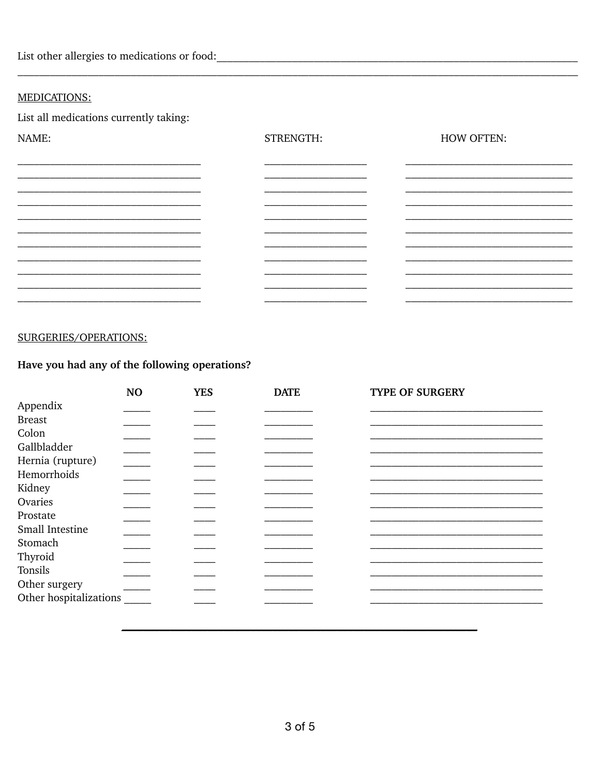List other allergies to medications or food:<br>
<u>
</u>

### **MEDICATIONS:**

List all medications currently taking:

| NAME:                                                                                     | STRENGTH: | <b>HOW OFTEN:</b> |
|-------------------------------------------------------------------------------------------|-----------|-------------------|
|                                                                                           |           |                   |
|                                                                                           |           |                   |
| the control of the control of the control of the control of the control of the control of |           |                   |
|                                                                                           |           |                   |
|                                                                                           |           |                   |
|                                                                                           |           |                   |
|                                                                                           |           |                   |

#### SURGERIES/OPERATIONS:

## Have you had any of the following operations?

|                        | NO | <b>YES</b> | <b>DATE</b> | <b>TYPE OF SURGERY</b> |
|------------------------|----|------------|-------------|------------------------|
| Appendix               |    |            |             |                        |
| <b>Breast</b>          |    |            |             |                        |
| Colon                  |    |            |             |                        |
| Gallbladder            |    |            |             |                        |
| Hernia (rupture)       |    |            |             |                        |
| Hemorrhoids            |    |            |             |                        |
| Kidney                 |    |            |             |                        |
| Ovaries                |    |            |             |                        |
| Prostate               |    |            |             |                        |
| Small Intestine        |    |            |             |                        |
| Stomach                |    |            |             |                        |
| Thyroid                |    |            |             |                        |
| Tonsils                |    |            |             |                        |
| Other surgery          |    |            |             |                        |
| Other hospitalizations |    |            |             |                        |
|                        |    |            |             |                        |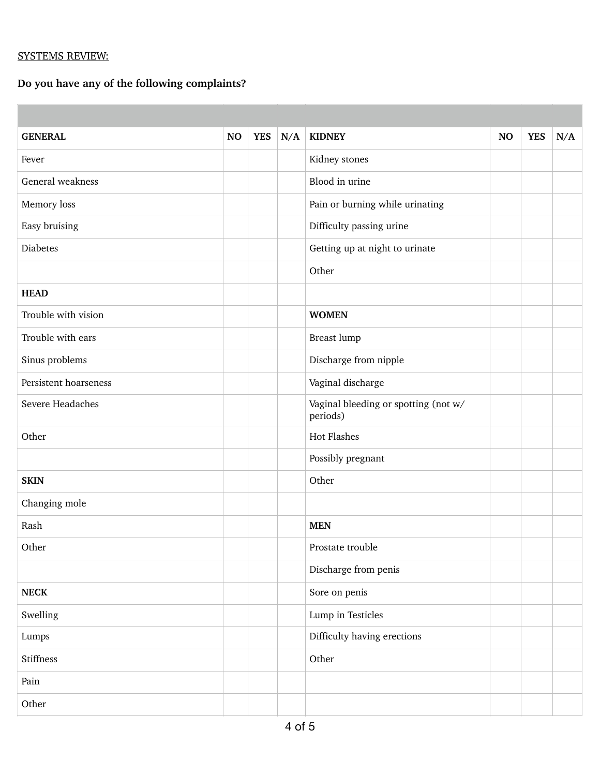## SYSTEMS REVIEW:

# **Do you have any of the following complaints?**

| <b>GENERAL</b>        | <b>NO</b> | <b>YES</b> | N/A | <b>KIDNEY</b>                                    | NO | <b>YES</b> | N/A |
|-----------------------|-----------|------------|-----|--------------------------------------------------|----|------------|-----|
| Fever                 |           |            |     | Kidney stones                                    |    |            |     |
| General weakness      |           |            |     | Blood in urine                                   |    |            |     |
| Memory loss           |           |            |     | Pain or burning while urinating                  |    |            |     |
| Easy bruising         |           |            |     | Difficulty passing urine                         |    |            |     |
| <b>Diabetes</b>       |           |            |     | Getting up at night to urinate                   |    |            |     |
|                       |           |            |     | Other                                            |    |            |     |
| <b>HEAD</b>           |           |            |     |                                                  |    |            |     |
| Trouble with vision   |           |            |     | <b>WOMEN</b>                                     |    |            |     |
| Trouble with ears     |           |            |     | <b>Breast lump</b>                               |    |            |     |
| Sinus problems        |           |            |     | Discharge from nipple                            |    |            |     |
| Persistent hoarseness |           |            |     | Vaginal discharge                                |    |            |     |
| Severe Headaches      |           |            |     | Vaginal bleeding or spotting (not w/<br>periods) |    |            |     |
| Other                 |           |            |     | <b>Hot Flashes</b>                               |    |            |     |
|                       |           |            |     | Possibly pregnant                                |    |            |     |
| <b>SKIN</b>           |           |            |     | Other                                            |    |            |     |
| Changing mole         |           |            |     |                                                  |    |            |     |
| Rash                  |           |            |     | <b>MEN</b>                                       |    |            |     |
| Other                 |           |            |     | Prostate trouble                                 |    |            |     |
|                       |           |            |     | Discharge from penis                             |    |            |     |
| ${\bf NECK}$          |           |            |     | Sore on penis                                    |    |            |     |
| Swelling              |           |            |     | Lump in Testicles                                |    |            |     |
| Lumps                 |           |            |     | Difficulty having erections                      |    |            |     |
| Stiffness             |           |            |     | Other                                            |    |            |     |
| Pain                  |           |            |     |                                                  |    |            |     |
| Other                 |           |            |     |                                                  |    |            |     |